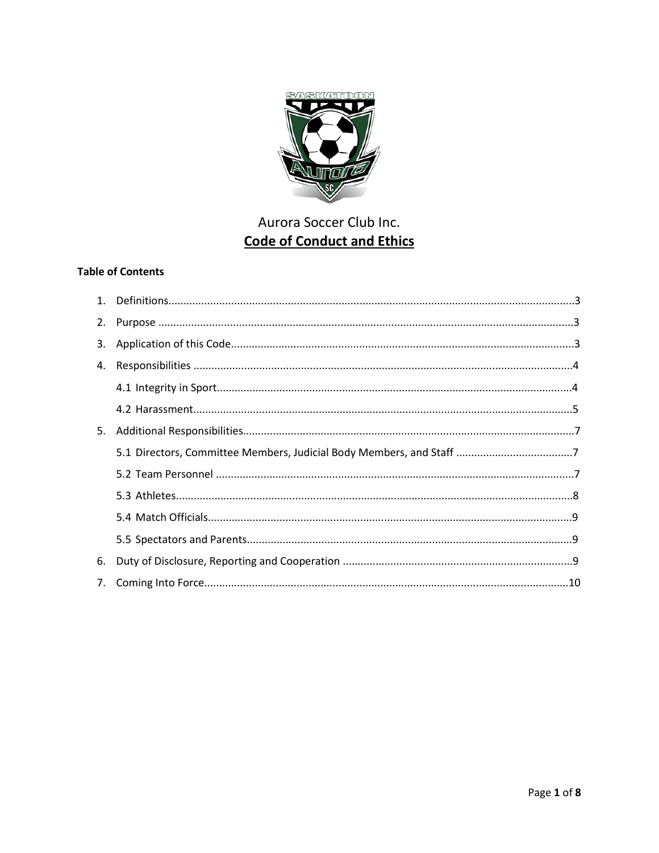

# Aurora Soccer Club Inc. **Code of Conduct and Ethics**

## **Table of Contents**

| 2. |  |
|----|--|
|    |  |
| 4. |  |
|    |  |
|    |  |
|    |  |
|    |  |
|    |  |
|    |  |
|    |  |
|    |  |
| 6. |  |
| 7. |  |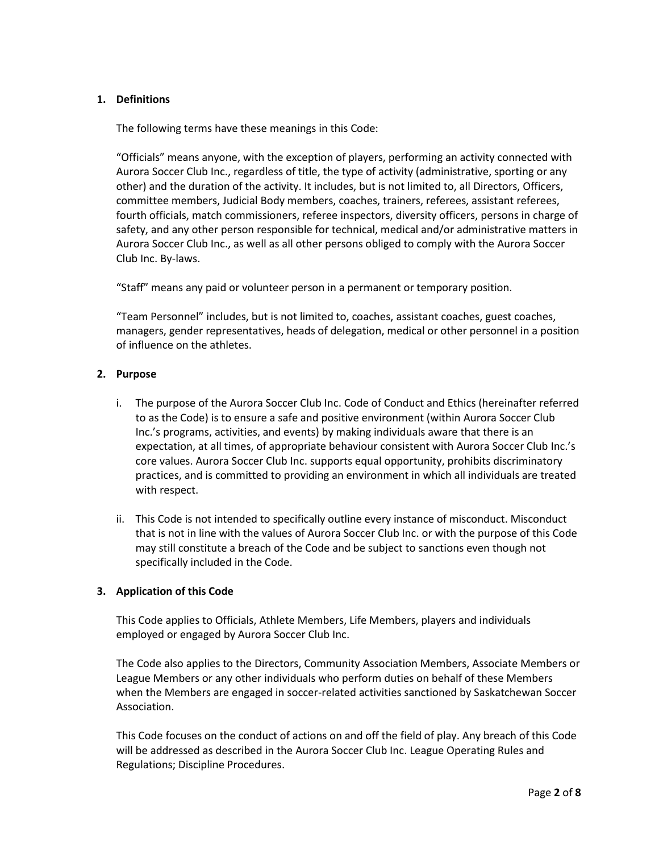### **1. Definitions**

The following terms have these meanings in this Code:

"Officials" means anyone, with the exception of players, performing an activity connected with Aurora Soccer Club Inc., regardless of title, the type of activity (administrative, sporting or any other) and the duration of the activity. It includes, but is not limited to, all Directors, Officers, committee members, Judicial Body members, coaches, trainers, referees, assistant referees, fourth officials, match commissioners, referee inspectors, diversity officers, persons in charge of safety, and any other person responsible for technical, medical and/or administrative matters in Aurora Soccer Club Inc., as well as all other persons obliged to comply with the Aurora Soccer Club Inc. By-laws.

"Staff" means any paid or volunteer person in a permanent or temporary position.

"Team Personnel" includes, but is not limited to, coaches, assistant coaches, guest coaches, managers, gender representatives, heads of delegation, medical or other personnel in a position of influence on the athletes.

### **2. Purpose**

- i. The purpose of the Aurora Soccer Club Inc. Code of Conduct and Ethics (hereinafter referred to as the Code) is to ensure a safe and positive environment (within Aurora Soccer Club Inc.'s programs, activities, and events) by making individuals aware that there is an expectation, at all times, of appropriate behaviour consistent with Aurora Soccer Club Inc.'s core values. Aurora Soccer Club Inc. supports equal opportunity, prohibits discriminatory practices, and is committed to providing an environment in which all individuals are treated with respect.
- ii. This Code is not intended to specifically outline every instance of misconduct. Misconduct that is not in line with the values of Aurora Soccer Club Inc. or with the purpose of this Code may still constitute a breach of the Code and be subject to sanctions even though not specifically included in the Code.

### **3. Application of this Code**

This Code applies to Officials, Athlete Members, Life Members, players and individuals employed or engaged by Aurora Soccer Club Inc.

The Code also applies to the Directors, Community Association Members, Associate Members or League Members or any other individuals who perform duties on behalf of these Members when the Members are engaged in soccer-related activities sanctioned by Saskatchewan Soccer Association.

This Code focuses on the conduct of actions on and off the field of play. Any breach of this Code will be addressed as described in the Aurora Soccer Club Inc. League Operating Rules and Regulations; Discipline Procedures.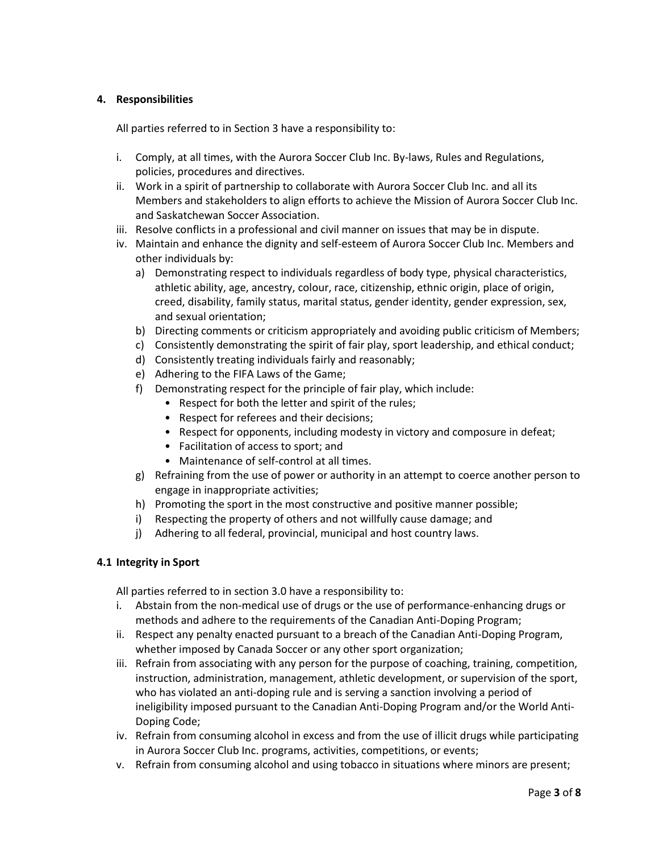## **4. Responsibilities**

All parties referred to in Section 3 have a responsibility to:

- i. Comply, at all times, with the Aurora Soccer Club Inc. By-laws, Rules and Regulations, policies, procedures and directives.
- ii. Work in a spirit of partnership to collaborate with Aurora Soccer Club Inc. and all its Members and stakeholders to align efforts to achieve the Mission of Aurora Soccer Club Inc. and Saskatchewan Soccer Association.
- iii. Resolve conflicts in a professional and civil manner on issues that may be in dispute.
- iv. Maintain and enhance the dignity and self-esteem of Aurora Soccer Club Inc. Members and other individuals by:
	- a) Demonstrating respect to individuals regardless of body type, physical characteristics, athletic ability, age, ancestry, colour, race, citizenship, ethnic origin, place of origin, creed, disability, family status, marital status, gender identity, gender expression, sex, and sexual orientation;
	- b) Directing comments or criticism appropriately and avoiding public criticism of Members;
	- c) Consistently demonstrating the spirit of fair play, sport leadership, and ethical conduct;
	- d) Consistently treating individuals fairly and reasonably;
	- e) Adhering to the FIFA Laws of the Game;
	- f) Demonstrating respect for the principle of fair play, which include:
		- Respect for both the letter and spirit of the rules;
		- Respect for referees and their decisions;
		- Respect for opponents, including modesty in victory and composure in defeat;
		- Facilitation of access to sport; and
		- Maintenance of self-control at all times.
	- g) Refraining from the use of power or authority in an attempt to coerce another person to engage in inappropriate activities;
	- h) Promoting the sport in the most constructive and positive manner possible;
	- i) Respecting the property of others and not willfully cause damage; and
	- j) Adhering to all federal, provincial, municipal and host country laws.

### **4.1 Integrity in Sport**

All parties referred to in section 3.0 have a responsibility to:

- i. Abstain from the non-medical use of drugs or the use of performance-enhancing drugs or methods and adhere to the requirements of the Canadian Anti-Doping Program;
- ii. Respect any penalty enacted pursuant to a breach of the Canadian Anti-Doping Program, whether imposed by Canada Soccer or any other sport organization;
- iii. Refrain from associating with any person for the purpose of coaching, training, competition, instruction, administration, management, athletic development, or supervision of the sport, who has violated an anti-doping rule and is serving a sanction involving a period of ineligibility imposed pursuant to the Canadian Anti-Doping Program and/or the World Anti-Doping Code;
- iv. Refrain from consuming alcohol in excess and from the use of illicit drugs while participating in Aurora Soccer Club Inc. programs, activities, competitions, or events;
- v. Refrain from consuming alcohol and using tobacco in situations where minors are present;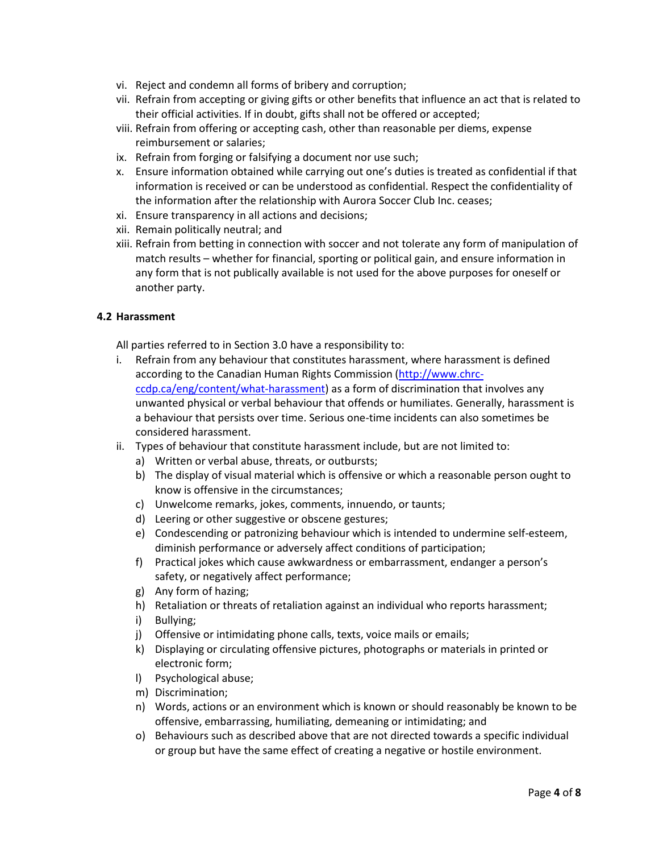- vi. Reject and condemn all forms of bribery and corruption;
- vii. Refrain from accepting or giving gifts or other benefits that influence an act that is related to their official activities. If in doubt, gifts shall not be offered or accepted;
- viii. Refrain from offering or accepting cash, other than reasonable per diems, expense reimbursement or salaries;
- ix. Refrain from forging or falsifying a document nor use such;
- x. Ensure information obtained while carrying out one's duties is treated as confidential if that information is received or can be understood as confidential. Respect the confidentiality of the information after the relationship with Aurora Soccer Club Inc. ceases;
- xi. Ensure transparency in all actions and decisions;
- xii. Remain politically neutral; and
- xiii. Refrain from betting in connection with soccer and not tolerate any form of manipulation of match results – whether for financial, sporting or political gain, and ensure information in any form that is not publically available is not used for the above purposes for oneself or another party.

#### **4.2 Harassment**

All parties referred to in Section 3.0 have a responsibility to:

- i. Refrain from any behaviour that constitutes harassment, where harassment is defined according to the Canadian Human Rights Commission [\(http://www.chrc](http://www.chrc-ccdp.ca/eng/content/what-harassment)[ccdp.ca/eng/content/what-harassment\)](http://www.chrc-ccdp.ca/eng/content/what-harassment) as a form of discrimination that involves any unwanted physical or verbal behaviour that offends or humiliates. Generally, harassment is a behaviour that persists over time. Serious one-time incidents can also sometimes be considered harassment.
- ii. Types of behaviour that constitute harassment include, but are not limited to:
	- a) Written or verbal abuse, threats, or outbursts;
	- b) The display of visual material which is offensive or which a reasonable person ought to know is offensive in the circumstances;
	- c) Unwelcome remarks, jokes, comments, innuendo, or taunts;
	- d) Leering or other suggestive or obscene gestures;
	- e) Condescending or patronizing behaviour which is intended to undermine self-esteem, diminish performance or adversely affect conditions of participation;
	- f) Practical jokes which cause awkwardness or embarrassment, endanger a person's safety, or negatively affect performance;
	- g) Any form of hazing;
	- h) Retaliation or threats of retaliation against an individual who reports harassment;
	- i) Bullying;
	- j) Offensive or intimidating phone calls, texts, voice mails or emails;
	- k) Displaying or circulating offensive pictures, photographs or materials in printed or electronic form;
	- l) Psychological abuse;
	- m) Discrimination;
	- n) Words, actions or an environment which is known or should reasonably be known to be offensive, embarrassing, humiliating, demeaning or intimidating; and
	- o) Behaviours such as described above that are not directed towards a specific individual or group but have the same effect of creating a negative or hostile environment.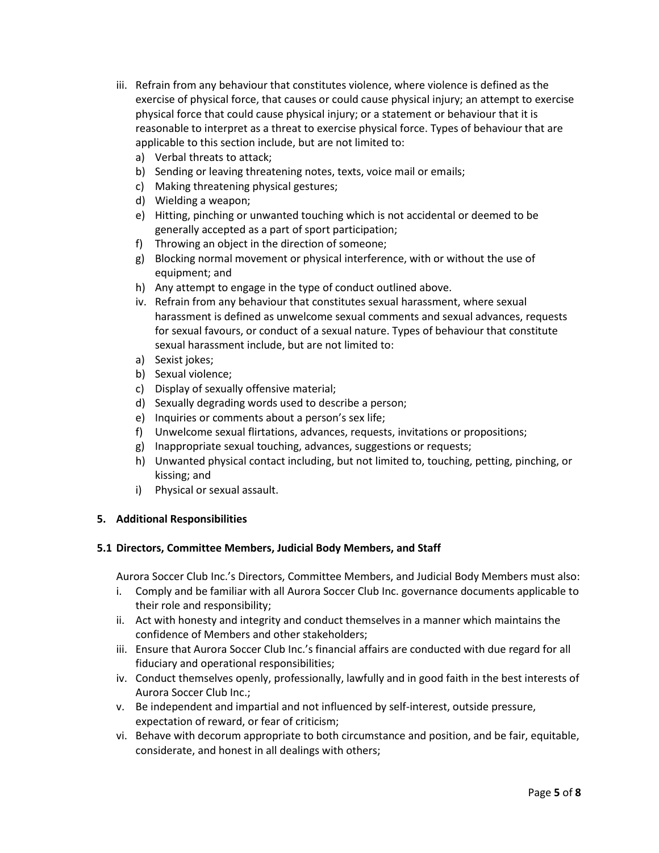- iii. Refrain from any behaviour that constitutes violence, where violence is defined as the exercise of physical force, that causes or could cause physical injury; an attempt to exercise physical force that could cause physical injury; or a statement or behaviour that it is reasonable to interpret as a threat to exercise physical force. Types of behaviour that are applicable to this section include, but are not limited to:
	- a) Verbal threats to attack;
	- b) Sending or leaving threatening notes, texts, voice mail or emails;
	- c) Making threatening physical gestures;
	- d) Wielding a weapon;
	- e) Hitting, pinching or unwanted touching which is not accidental or deemed to be generally accepted as a part of sport participation;
	- f) Throwing an object in the direction of someone;
	- g) Blocking normal movement or physical interference, with or without the use of equipment; and
	- h) Any attempt to engage in the type of conduct outlined above.
	- iv. Refrain from any behaviour that constitutes sexual harassment, where sexual harassment is defined as unwelcome sexual comments and sexual advances, requests for sexual favours, or conduct of a sexual nature. Types of behaviour that constitute sexual harassment include, but are not limited to:
	- a) Sexist jokes;
	- b) Sexual violence;
	- c) Display of sexually offensive material;
	- d) Sexually degrading words used to describe a person;
	- e) Inquiries or comments about a person's sex life;
	- f) Unwelcome sexual flirtations, advances, requests, invitations or propositions;
	- g) Inappropriate sexual touching, advances, suggestions or requests;
	- h) Unwanted physical contact including, but not limited to, touching, petting, pinching, or kissing; and
	- i) Physical or sexual assault.

### **5. Additional Responsibilities**

### **5.1 Directors, Committee Members, Judicial Body Members, and Staff**

Aurora Soccer Club Inc.'s Directors, Committee Members, and Judicial Body Members must also:

- i. Comply and be familiar with all Aurora Soccer Club Inc. governance documents applicable to their role and responsibility;
- ii. Act with honesty and integrity and conduct themselves in a manner which maintains the confidence of Members and other stakeholders;
- iii. Ensure that Aurora Soccer Club Inc.'s financial affairs are conducted with due regard for all fiduciary and operational responsibilities;
- iv. Conduct themselves openly, professionally, lawfully and in good faith in the best interests of Aurora Soccer Club Inc.;
- v. Be independent and impartial and not influenced by self-interest, outside pressure, expectation of reward, or fear of criticism;
- vi. Behave with decorum appropriate to both circumstance and position, and be fair, equitable, considerate, and honest in all dealings with others;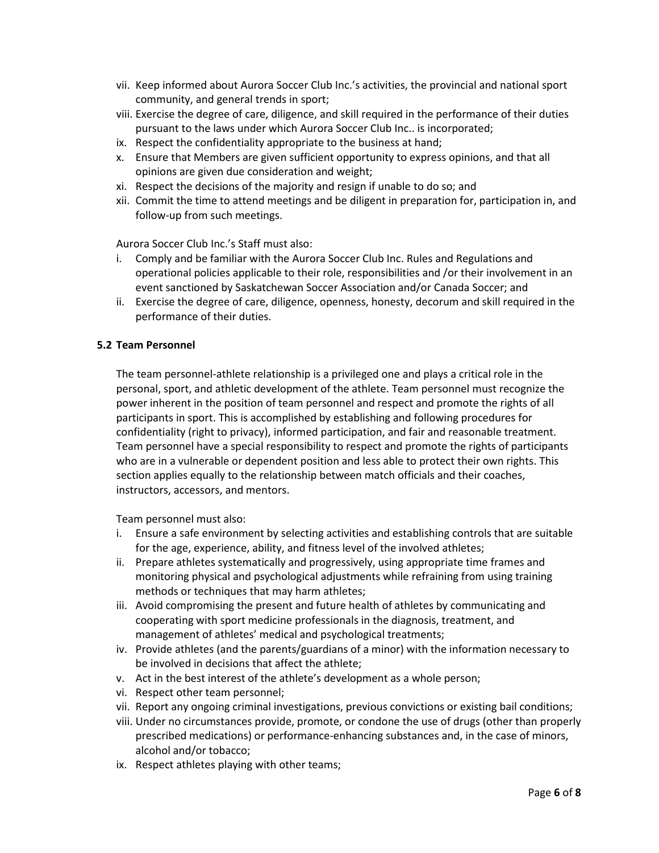- vii. Keep informed about Aurora Soccer Club Inc.'s activities, the provincial and national sport community, and general trends in sport;
- viii. Exercise the degree of care, diligence, and skill required in the performance of their duties pursuant to the laws under which Aurora Soccer Club Inc.. is incorporated;
- ix. Respect the confidentiality appropriate to the business at hand;
- x. Ensure that Members are given sufficient opportunity to express opinions, and that all opinions are given due consideration and weight;
- xi. Respect the decisions of the majority and resign if unable to do so; and
- xii. Commit the time to attend meetings and be diligent in preparation for, participation in, and follow-up from such meetings.

Aurora Soccer Club Inc.'s Staff must also:

- i. Comply and be familiar with the Aurora Soccer Club Inc. Rules and Regulations and operational policies applicable to their role, responsibilities and /or their involvement in an event sanctioned by Saskatchewan Soccer Association and/or Canada Soccer; and
- ii. Exercise the degree of care, diligence, openness, honesty, decorum and skill required in the performance of their duties.

#### **5.2 Team Personnel**

The team personnel-athlete relationship is a privileged one and plays a critical role in the personal, sport, and athletic development of the athlete. Team personnel must recognize the power inherent in the position of team personnel and respect and promote the rights of all participants in sport. This is accomplished by establishing and following procedures for confidentiality (right to privacy), informed participation, and fair and reasonable treatment. Team personnel have a special responsibility to respect and promote the rights of participants who are in a vulnerable or dependent position and less able to protect their own rights. This section applies equally to the relationship between match officials and their coaches, instructors, accessors, and mentors.

Team personnel must also:

- i. Ensure a safe environment by selecting activities and establishing controls that are suitable for the age, experience, ability, and fitness level of the involved athletes;
- ii. Prepare athletes systematically and progressively, using appropriate time frames and monitoring physical and psychological adjustments while refraining from using training methods or techniques that may harm athletes;
- iii. Avoid compromising the present and future health of athletes by communicating and cooperating with sport medicine professionals in the diagnosis, treatment, and management of athletes' medical and psychological treatments;
- iv. Provide athletes (and the parents/guardians of a minor) with the information necessary to be involved in decisions that affect the athlete;
- v. Act in the best interest of the athlete's development as a whole person;
- vi. Respect other team personnel;
- vii. Report any ongoing criminal investigations, previous convictions or existing bail conditions;
- viii. Under no circumstances provide, promote, or condone the use of drugs (other than properly prescribed medications) or performance-enhancing substances and, in the case of minors, alcohol and/or tobacco;
- ix. Respect athletes playing with other teams;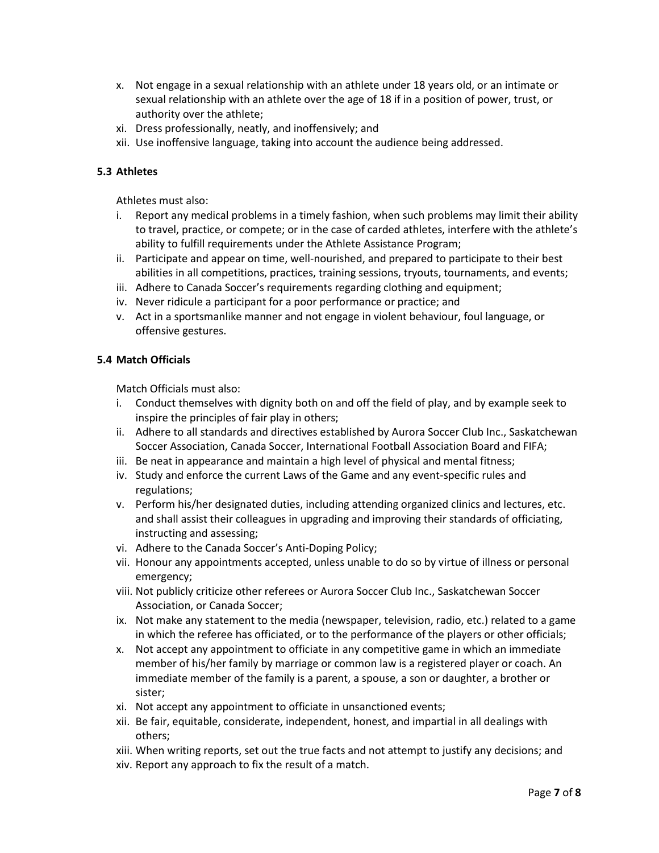- x. Not engage in a sexual relationship with an athlete under 18 years old, or an intimate or sexual relationship with an athlete over the age of 18 if in a position of power, trust, or authority over the athlete;
- xi. Dress professionally, neatly, and inoffensively; and
- xii. Use inoffensive language, taking into account the audience being addressed.

## **5.3 Athletes**

Athletes must also:

- i. Report any medical problems in a timely fashion, when such problems may limit their ability to travel, practice, or compete; or in the case of carded athletes, interfere with the athlete's ability to fulfill requirements under the Athlete Assistance Program;
- ii. Participate and appear on time, well-nourished, and prepared to participate to their best abilities in all competitions, practices, training sessions, tryouts, tournaments, and events;
- iii. Adhere to Canada Soccer's requirements regarding clothing and equipment;
- iv. Never ridicule a participant for a poor performance or practice; and
- v. Act in a sportsmanlike manner and not engage in violent behaviour, foul language, or offensive gestures.

### **5.4 Match Officials**

Match Officials must also:

- i. Conduct themselves with dignity both on and off the field of play, and by example seek to inspire the principles of fair play in others;
- ii. Adhere to all standards and directives established by Aurora Soccer Club Inc., Saskatchewan Soccer Association, Canada Soccer, International Football Association Board and FIFA;
- iii. Be neat in appearance and maintain a high level of physical and mental fitness;
- iv. Study and enforce the current Laws of the Game and any event-specific rules and regulations;
- v. Perform his/her designated duties, including attending organized clinics and lectures, etc. and shall assist their colleagues in upgrading and improving their standards of officiating, instructing and assessing;
- vi. Adhere to the Canada Soccer's Anti-Doping Policy;
- vii. Honour any appointments accepted, unless unable to do so by virtue of illness or personal emergency;
- viii. Not publicly criticize other referees or Aurora Soccer Club Inc., Saskatchewan Soccer Association, or Canada Soccer;
- ix. Not make any statement to the media (newspaper, television, radio, etc.) related to a game in which the referee has officiated, or to the performance of the players or other officials;
- x. Not accept any appointment to officiate in any competitive game in which an immediate member of his/her family by marriage or common law is a registered player or coach. An immediate member of the family is a parent, a spouse, a son or daughter, a brother or sister;
- xi. Not accept any appointment to officiate in unsanctioned events;
- xii. Be fair, equitable, considerate, independent, honest, and impartial in all dealings with others;
- xiii. When writing reports, set out the true facts and not attempt to justify any decisions; and
- xiv. Report any approach to fix the result of a match.